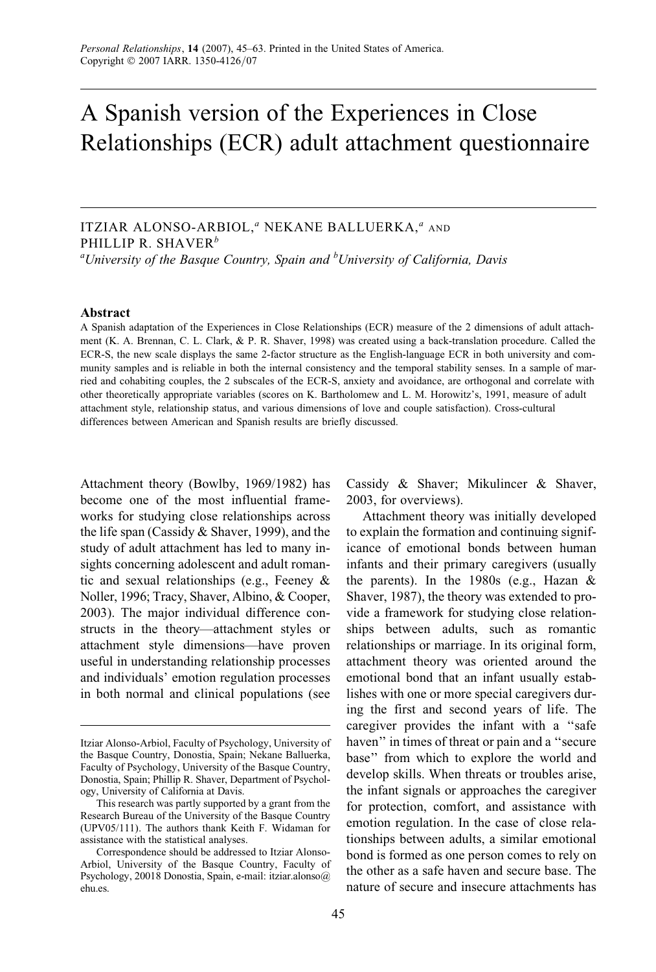# A Spanish version of the Experiences in Close Relationships (ECR) adult attachment questionnaire

# ITZIAR ALONSO-ARBIOL,<sup>a</sup> NEKANE BALLUERKA,<sup>a</sup> AND PHILLIP R. SHAVER<sup>b</sup> <sup>a</sup>University of the Basque Country, Spain and <sup>b</sup>University of California, Davis

#### Abstract

A Spanish adaptation of the Experiences in Close Relationships (ECR) measure of the 2 dimensions of adult attachment (K. A. Brennan, C. L. Clark, & P. R. Shaver, 1998) was created using a back-translation procedure. Called the ECR-S, the new scale displays the same 2-factor structure as the English-language ECR in both university and community samples and is reliable in both the internal consistency and the temporal stability senses. In a sample of married and cohabiting couples, the 2 subscales of the ECR-S, anxiety and avoidance, are orthogonal and correlate with other theoretically appropriate variables (scores on K. Bartholomew and L. M. Horowitz's, 1991, measure of adult attachment style, relationship status, and various dimensions of love and couple satisfaction). Cross-cultural differences between American and Spanish results are briefly discussed.

Attachment theory (Bowlby, 1969/1982) has become one of the most influential frameworks for studying close relationships across the life span (Cassidy & Shaver, 1999), and the study of adult attachment has led to many insights concerning adolescent and adult romantic and sexual relationships (e.g., Feeney & Noller, 1996; Tracy, Shaver, Albino, & Cooper, 2003). The major individual difference constructs in the theory—attachment styles or attachment style dimensions—have proven useful in understanding relationship processes and individuals' emotion regulation processes in both normal and clinical populations (see Cassidy & Shaver; Mikulincer & Shaver, 2003, for overviews).

Attachment theory was initially developed to explain the formation and continuing significance of emotional bonds between human infants and their primary caregivers (usually the parents). In the 1980s (e.g., Hazan & Shaver, 1987), the theory was extended to provide a framework for studying close relationships between adults, such as romantic relationships or marriage. In its original form, attachment theory was oriented around the emotional bond that an infant usually establishes with one or more special caregivers during the first and second years of life. The caregiver provides the infant with a "safe haven" in times of threat or pain and a "secure" base'' from which to explore the world and develop skills. When threats or troubles arise, the infant signals or approaches the caregiver for protection, comfort, and assistance with emotion regulation. In the case of close relationships between adults, a similar emotional bond is formed as one person comes to rely on the other as a safe haven and secure base. The nature of secure and insecure attachments has

Itziar Alonso-Arbiol, Faculty of Psychology, University of the Basque Country, Donostia, Spain; Nekane Balluerka, Faculty of Psychology, University of the Basque Country, Donostia, Spain; Phillip R. Shaver, Department of Psychology, University of California at Davis.

This research was partly supported by a grant from the Research Bureau of the University of the Basque Country (UPV05/111). The authors thank Keith F. Widaman for assistance with the statistical analyses.

Correspondence should be addressed to Itziar Alonso-Arbiol, University of the Basque Country, Faculty of Psychology, 20018 Donostia, Spain, e-mail: itziar.alonso@ ehu.es.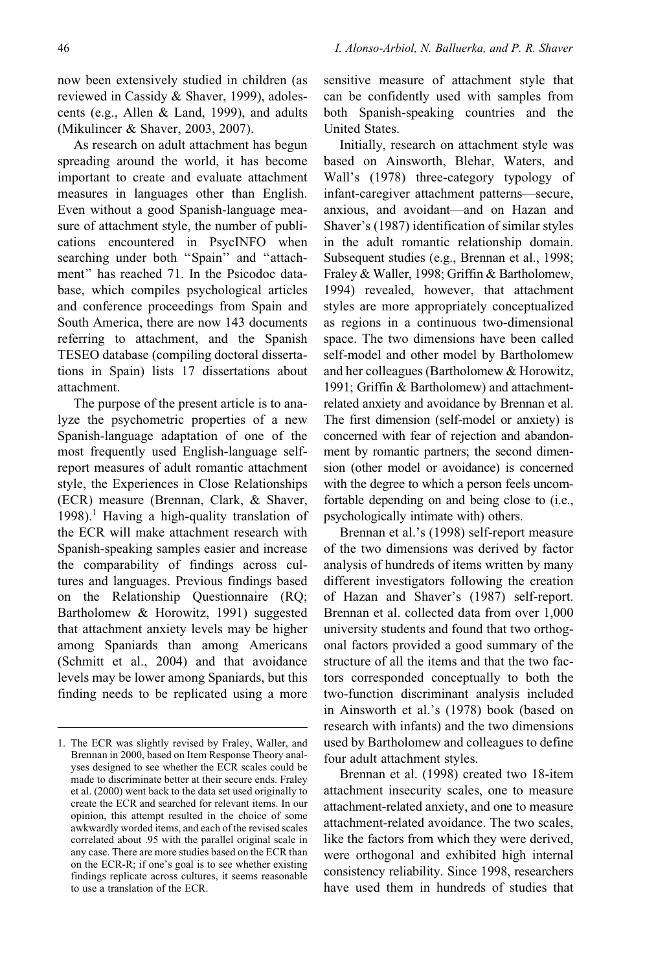now been extensively studied in children (as reviewed in Cassidy & Shaver, 1999), adolescents (e.g., Allen & Land, 1999), and adults (Mikulincer & Shaver, 2003, 2007).

As research on adult attachment has begun spreading around the world, it has become important to create and evaluate attachment measures in languages other than English. Even without a good Spanish-language measure of attachment style, the number of publications encountered in PsycINFO when searching under both ''Spain'' and ''attachment'' has reached 71. In the Psicodoc database, which compiles psychological articles and conference proceedings from Spain and South America, there are now 143 documents referring to attachment, and the Spanish TESEO database (compiling doctoral dissertations in Spain) lists 17 dissertations about attachment.

The purpose of the present article is to analyze the psychometric properties of a new Spanish-language adaptation of one of the most frequently used English-language selfreport measures of adult romantic attachment style, the Experiences in Close Relationships (ECR) measure (Brennan, Clark, & Shaver, 1998).<sup>1</sup> Having a high-quality translation of the ECR will make attachment research with Spanish-speaking samples easier and increase the comparability of findings across cultures and languages. Previous findings based on the Relationship Questionnaire (RQ; Bartholomew & Horowitz, 1991) suggested that attachment anxiety levels may be higher among Spaniards than among Americans (Schmitt et al., 2004) and that avoidance levels may be lower among Spaniards, but this finding needs to be replicated using a more

sensitive measure of attachment style that can be confidently used with samples from both Spanish-speaking countries and the United States.

Initially, research on attachment style was based on Ainsworth, Blehar, Waters, and Wall's (1978) three-category typology of infant-caregiver attachment patterns—secure, anxious, and avoidant—and on Hazan and Shaver's (1987) identification of similar styles in the adult romantic relationship domain. Subsequent studies (e.g., Brennan et al., 1998; Fraley & Waller, 1998; Griffin & Bartholomew, 1994) revealed, however, that attachment styles are more appropriately conceptualized as regions in a continuous two-dimensional space. The two dimensions have been called self-model and other model by Bartholomew and her colleagues (Bartholomew & Horowitz, 1991; Griffin & Bartholomew) and attachmentrelated anxiety and avoidance by Brennan et al. The first dimension (self-model or anxiety) is concerned with fear of rejection and abandonment by romantic partners; the second dimension (other model or avoidance) is concerned with the degree to which a person feels uncomfortable depending on and being close to (i.e., psychologically intimate with) others.

Brennan et al.'s (1998) self-report measure of the two dimensions was derived by factor analysis of hundreds of items written by many different investigators following the creation of Hazan and Shaver's (1987) self-report. Brennan et al. collected data from over 1,000 university students and found that two orthogonal factors provided a good summary of the structure of all the items and that the two factors corresponded conceptually to both the two-function discriminant analysis included in Ainsworth et al.'s (1978) book (based on research with infants) and the two dimensions used by Bartholomew and colleagues to define four adult attachment styles.

Brennan et al. (1998) created two 18-item attachment insecurity scales, one to measure attachment-related anxiety, and one to measure attachment-related avoidance. The two scales, like the factors from which they were derived, were orthogonal and exhibited high internal consistency reliability. Since 1998, researchers have used them in hundreds of studies that

<sup>1.</sup> The ECR was slightly revised by Fraley, Waller, and Brennan in 2000, based on Item Response Theory analyses designed to see whether the ECR scales could be made to discriminate better at their secure ends. Fraley et al. (2000) went back to the data set used originally to create the ECR and searched for relevant items. In our opinion, this attempt resulted in the choice of some awkwardly worded items, and each of the revised scales correlated about .95 with the parallel original scale in any case. There are more studies based on the ECR than on the ECR-R; if one's goal is to see whether existing findings replicate across cultures, it seems reasonable to use a translation of the ECR.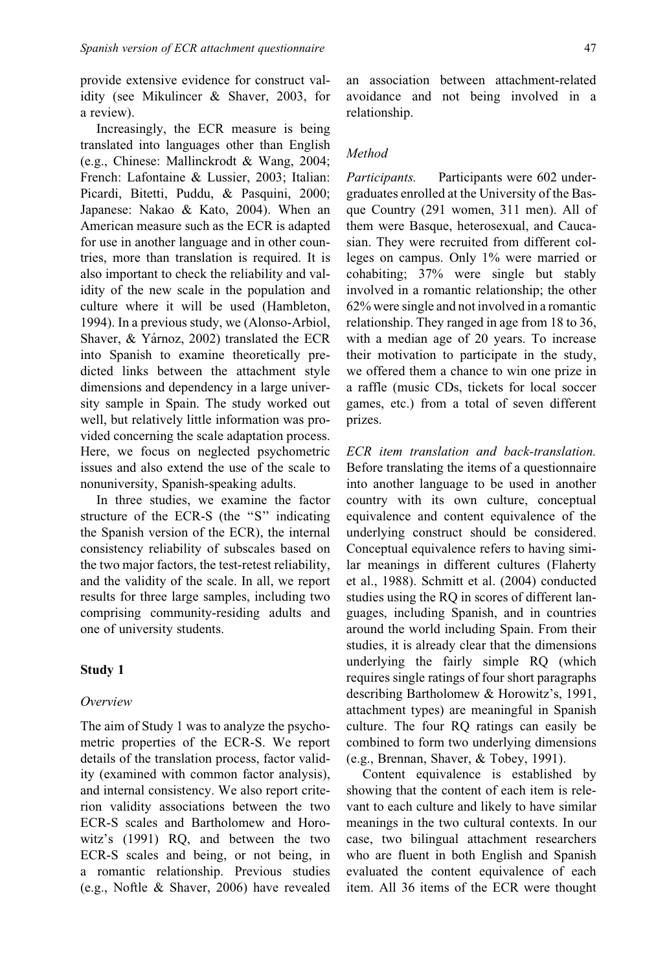provide extensive evidence for construct validity (see Mikulincer & Shaver, 2003, for a review).

Increasingly, the ECR measure is being translated into languages other than English (e.g., Chinese: Mallinckrodt & Wang, 2004; French: Lafontaine & Lussier, 2003; Italian: Picardi, Bitetti, Puddu, & Pasquini, 2000; Japanese: Nakao & Kato, 2004). When an American measure such as the ECR is adapted for use in another language and in other countries, more than translation is required. It is also important to check the reliability and validity of the new scale in the population and culture where it will be used (Hambleton, 1994). In a previous study, we (Alonso-Arbiol, Shaver, & Yárnoz, 2002) translated the ECR into Spanish to examine theoretically predicted links between the attachment style dimensions and dependency in a large university sample in Spain. The study worked out well, but relatively little information was provided concerning the scale adaptation process. Here, we focus on neglected psychometric issues and also extend the use of the scale to nonuniversity, Spanish-speaking adults.

In three studies, we examine the factor structure of the ECR-S (the "S" indicating the Spanish version of the ECR), the internal consistency reliability of subscales based on the two major factors, the test-retest reliability, and the validity of the scale. In all, we report results for three large samples, including two comprising community-residing adults and one of university students.

# Study 1

#### Overview

The aim of Study 1 was to analyze the psychometric properties of the ECR-S. We report details of the translation process, factor validity (examined with common factor analysis), and internal consistency. We also report criterion validity associations between the two ECR-S scales and Bartholomew and Horowitz's (1991) RQ, and between the two ECR-S scales and being, or not being, in a romantic relationship. Previous studies (e.g., Noftle & Shaver, 2006) have revealed an association between attachment-related avoidance and not being involved in a relationship.

# Method

Participants. Participants were 602 undergraduates enrolled at the University of the Basque Country (291 women, 311 men). All of them were Basque, heterosexual, and Caucasian. They were recruited from different colleges on campus. Only 1% were married or cohabiting; 37% were single but stably involved in a romantic relationship; the other 62% were single and not involved in a romantic relationship. They ranged in age from 18 to 36, with a median age of 20 years. To increase their motivation to participate in the study, we offered them a chance to win one prize in a raffle (music CDs, tickets for local soccer games, etc.) from a total of seven different prizes.

ECR item translation and back-translation. Before translating the items of a questionnaire into another language to be used in another country with its own culture, conceptual equivalence and content equivalence of the underlying construct should be considered. Conceptual equivalence refers to having similar meanings in different cultures (Flaherty et al., 1988). Schmitt et al. (2004) conducted studies using the RQ in scores of different languages, including Spanish, and in countries around the world including Spain. From their studies, it is already clear that the dimensions underlying the fairly simple RQ (which requires single ratings of four short paragraphs describing Bartholomew & Horowitz's, 1991, attachment types) are meaningful in Spanish culture. The four RQ ratings can easily be combined to form two underlying dimensions (e.g., Brennan, Shaver, & Tobey, 1991).

Content equivalence is established by showing that the content of each item is relevant to each culture and likely to have similar meanings in the two cultural contexts. In our case, two bilingual attachment researchers who are fluent in both English and Spanish evaluated the content equivalence of each item. All 36 items of the ECR were thought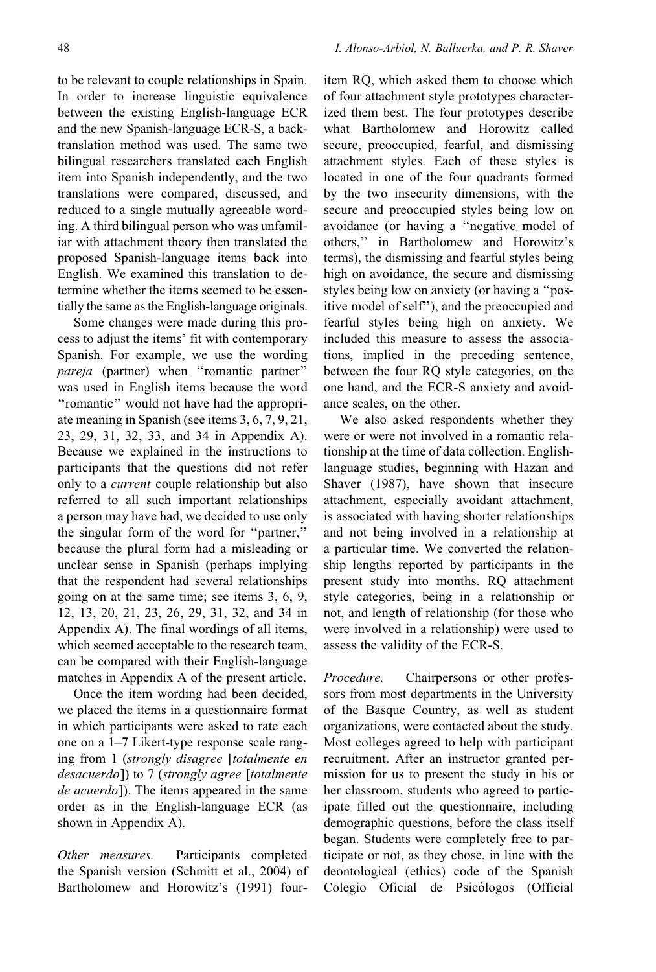to be relevant to couple relationships in Spain. In order to increase linguistic equivalence between the existing English-language ECR and the new Spanish-language ECR-S, a backtranslation method was used. The same two bilingual researchers translated each English item into Spanish independently, and the two translations were compared, discussed, and reduced to a single mutually agreeable wording. A third bilingual person who was unfamiliar with attachment theory then translated the proposed Spanish-language items back into English. We examined this translation to determine whether the items seemed to be essentially the same as the English-language originals.

Some changes were made during this process to adjust the items' fit with contemporary Spanish. For example, we use the wording pareja (partner) when ''romantic partner'' was used in English items because the word ''romantic'' would not have had the appropriate meaning in Spanish (see items 3, 6, 7, 9, 21, 23, 29, 31, 32, 33, and 34 in Appendix A). Because we explained in the instructions to participants that the questions did not refer only to a current couple relationship but also referred to all such important relationships a person may have had, we decided to use only the singular form of the word for ''partner,'' because the plural form had a misleading or unclear sense in Spanish (perhaps implying that the respondent had several relationships going on at the same time; see items 3, 6, 9, 12, 13, 20, 21, 23, 26, 29, 31, 32, and 34 in Appendix A). The final wordings of all items, which seemed acceptable to the research team, can be compared with their English-language matches in Appendix A of the present article.

Once the item wording had been decided, we placed the items in a questionnaire format in which participants were asked to rate each one on a 1–7 Likert-type response scale ranging from 1 (strongly disagree [totalmente en desacuerdo]) to 7 (strongly agree [totalmente de acuerdo]). The items appeared in the same order as in the English-language ECR (as shown in Appendix A).

Other measures. Participants completed the Spanish version (Schmitt et al., 2004) of Bartholomew and Horowitz's (1991) fouritem RQ, which asked them to choose which of four attachment style prototypes characterized them best. The four prototypes describe what Bartholomew and Horowitz called secure, preoccupied, fearful, and dismissing attachment styles. Each of these styles is located in one of the four quadrants formed by the two insecurity dimensions, with the secure and preoccupied styles being low on avoidance (or having a ''negative model of others,'' in Bartholomew and Horowitz's terms), the dismissing and fearful styles being high on avoidance, the secure and dismissing styles being low on anxiety (or having a ''positive model of self''), and the preoccupied and fearful styles being high on anxiety. We included this measure to assess the associations, implied in the preceding sentence, between the four RQ style categories, on the one hand, and the ECR-S anxiety and avoidance scales, on the other.

We also asked respondents whether they were or were not involved in a romantic relationship at the time of data collection. Englishlanguage studies, beginning with Hazan and Shaver (1987), have shown that insecure attachment, especially avoidant attachment, is associated with having shorter relationships and not being involved in a relationship at a particular time. We converted the relationship lengths reported by participants in the present study into months. RQ attachment style categories, being in a relationship or not, and length of relationship (for those who were involved in a relationship) were used to assess the validity of the ECR-S.

Procedure. Chairpersons or other professors from most departments in the University of the Basque Country, as well as student organizations, were contacted about the study. Most colleges agreed to help with participant recruitment. After an instructor granted permission for us to present the study in his or her classroom, students who agreed to participate filled out the questionnaire, including demographic questions, before the class itself began. Students were completely free to participate or not, as they chose, in line with the deontological (ethics) code of the Spanish Colegio Oficial de Psicólogos (Official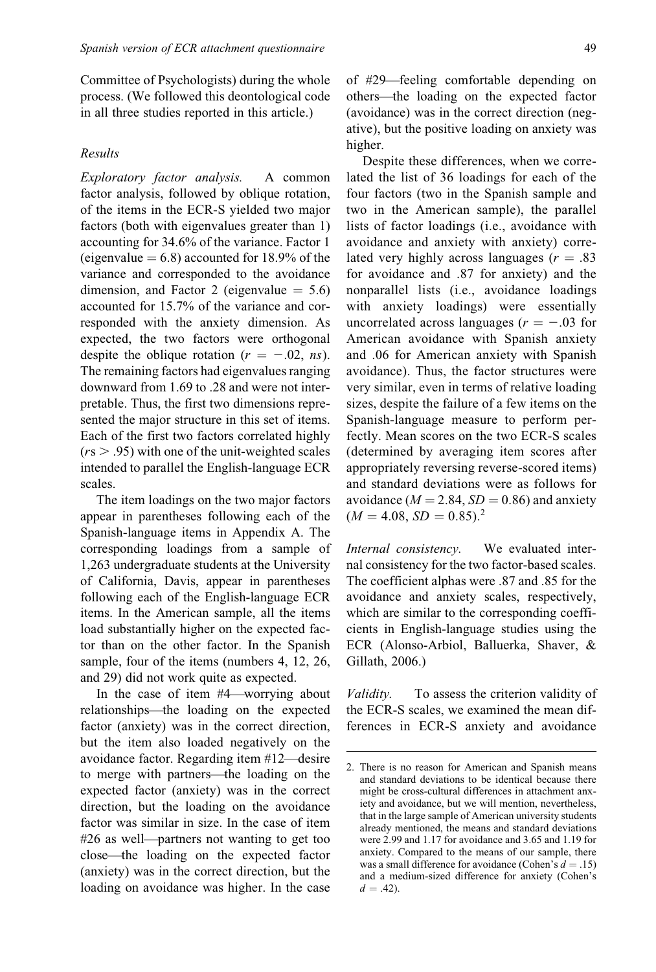Committee of Psychologists) during the whole process. (We followed this deontological code in all three studies reported in this article.)

# Results

Exploratory factor analysis. A common factor analysis, followed by oblique rotation, of the items in the ECR-S yielded two major factors (both with eigenvalues greater than 1) accounting for 34.6% of the variance. Factor 1 (eigenvalue  $= 6.8$ ) accounted for 18.9% of the variance and corresponded to the avoidance dimension, and Factor 2 (eigenvalue  $= 5.6$ ) accounted for 15.7% of the variance and corresponded with the anxiety dimension. As expected, the two factors were orthogonal despite the oblique rotation ( $r = -.02$ , ns). The remaining factors had eigenvalues ranging downward from 1.69 to .28 and were not interpretable. Thus, the first two dimensions represented the major structure in this set of items. Each of the first two factors correlated highly  $(rs > .95)$  with one of the unit-weighted scales intended to parallel the English-language ECR scales.

The item loadings on the two major factors appear in parentheses following each of the Spanish-language items in Appendix A. The corresponding loadings from a sample of 1,263 undergraduate students at the University of California, Davis, appear in parentheses following each of the English-language ECR items. In the American sample, all the items load substantially higher on the expected factor than on the other factor. In the Spanish sample, four of the items (numbers 4, 12, 26, and 29) did not work quite as expected.

In the case of item #4—worrying about relationships—the loading on the expected factor (anxiety) was in the correct direction, but the item also loaded negatively on the avoidance factor. Regarding item #12—desire to merge with partners—the loading on the expected factor (anxiety) was in the correct direction, but the loading on the avoidance factor was similar in size. In the case of item #26 as well—partners not wanting to get too close—the loading on the expected factor (anxiety) was in the correct direction, but the loading on avoidance was higher. In the case of #29—feeling comfortable depending on others—the loading on the expected factor (avoidance) was in the correct direction (negative), but the positive loading on anxiety was higher.

Despite these differences, when we correlated the list of 36 loadings for each of the four factors (two in the Spanish sample and two in the American sample), the parallel lists of factor loadings (i.e., avoidance with avoidance and anxiety with anxiety) correlated very highly across languages ( $r = .83$ ) for avoidance and .87 for anxiety) and the nonparallel lists (i.e., avoidance loadings with anxiety loadings) were essentially uncorrelated across languages ( $r = -.03$  for American avoidance with Spanish anxiety and .06 for American anxiety with Spanish avoidance). Thus, the factor structures were very similar, even in terms of relative loading sizes, despite the failure of a few items on the Spanish-language measure to perform perfectly. Mean scores on the two ECR-S scales (determined by averaging item scores after appropriately reversing reverse-scored items) and standard deviations were as follows for avoidance ( $M = 2.84$ ,  $SD = 0.86$ ) and anxiety  $(M = 4.08, SD = 0.85).<sup>2</sup>$ 

Internal consistency. We evaluated internal consistency for the two factor-based scales. The coefficient alphas were .87 and .85 for the avoidance and anxiety scales, respectively, which are similar to the corresponding coefficients in English-language studies using the ECR (Alonso-Arbiol, Balluerka, Shaver, & Gillath, 2006.)

Validity. To assess the criterion validity of the ECR-S scales, we examined the mean differences in ECR-S anxiety and avoidance

<sup>2.</sup> There is no reason for American and Spanish means and standard deviations to be identical because there might be cross-cultural differences in attachment anxiety and avoidance, but we will mention, nevertheless, that in the large sample of American university students already mentioned, the means and standard deviations were 2.99 and 1.17 for avoidance and 3.65 and 1.19 for anxiety. Compared to the means of our sample, there was a small difference for avoidance (Cohen's  $d = .15$ ) and a medium-sized difference for anxiety (Cohen's  $d = .42$ ).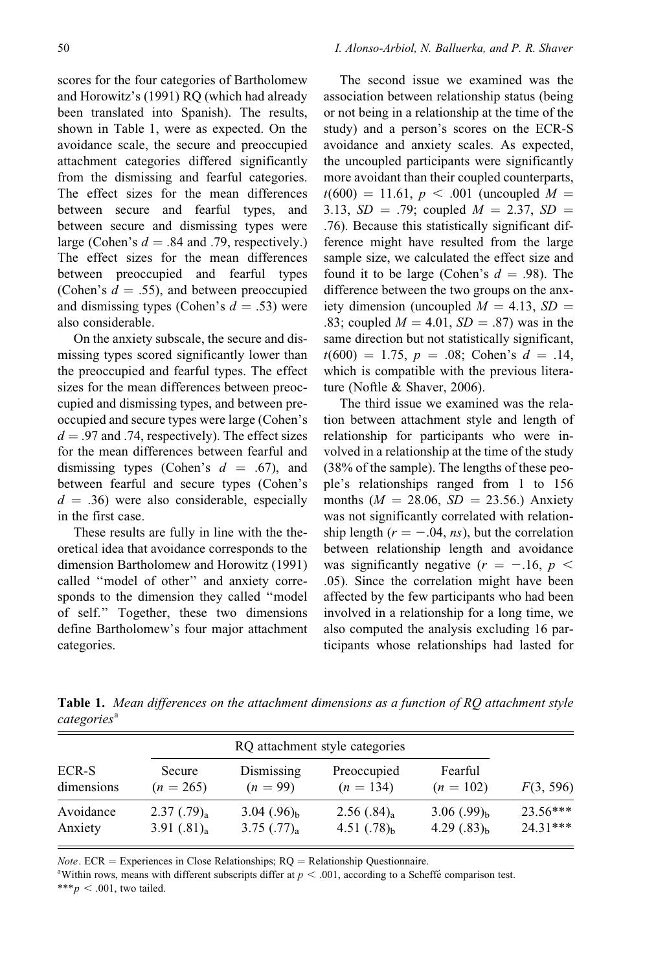scores for the four categories of Bartholomew and Horowitz's (1991) RQ (which had already been translated into Spanish). The results, shown in Table 1, were as expected. On the avoidance scale, the secure and preoccupied attachment categories differed significantly from the dismissing and fearful categories. The effect sizes for the mean differences between secure and fearful types, and between secure and dismissing types were large (Cohen's  $d = .84$  and .79, respectively.) The effect sizes for the mean differences between preoccupied and fearful types (Cohen's  $d = .55$ ), and between preoccupied and dismissing types (Cohen's  $d = .53$ ) were also considerable.

On the anxiety subscale, the secure and dismissing types scored significantly lower than the preoccupied and fearful types. The effect sizes for the mean differences between preoccupied and dismissing types, and between preoccupied and secure types were large (Cohen's  $d = .97$  and .74, respectively). The effect sizes for the mean differences between fearful and dismissing types (Cohen's  $d = .67$ ), and between fearful and secure types (Cohen's  $d = .36$ ) were also considerable, especially in the first case.

These results are fully in line with the theoretical idea that avoidance corresponds to the dimension Bartholomew and Horowitz (1991) called ''model of other'' and anxiety corresponds to the dimension they called ''model of self.'' Together, these two dimensions define Bartholomew's four major attachment categories.

The second issue we examined was the association between relationship status (being or not being in a relationship at the time of the study) and a person's scores on the ECR-S avoidance and anxiety scales. As expected, the uncoupled participants were significantly more avoidant than their coupled counterparts,  $t(600) = 11.61, p < .001$  (uncoupled  $M =$ 3.13,  $SD = .79$ ; coupled  $M = 2.37$ ,  $SD =$ .76). Because this statistically significant difference might have resulted from the large sample size, we calculated the effect size and found it to be large (Cohen's  $d = .98$ ). The difference between the two groups on the anxiety dimension (uncoupled  $M = 4.13$ ,  $SD =$ .83; coupled  $M = 4.01$ ,  $SD = .87$ ) was in the same direction but not statistically significant,  $t(600) = 1.75$ ,  $p = .08$ ; Cohen's  $d = .14$ , which is compatible with the previous literature (Noftle & Shaver, 2006).

The third issue we examined was the relation between attachment style and length of relationship for participants who were involved in a relationship at the time of the study (38% of the sample). The lengths of these people's relationships ranged from 1 to 156 months ( $M = 28.06$ ,  $SD = 23.56$ .) Anxiety was not significantly correlated with relationship length  $(r = -.04, ns)$ , but the correlation between relationship length and avoidance was significantly negative  $(r = -.16, p <$ .05). Since the correlation might have been affected by the few participants who had been involved in a relationship for a long time, we also computed the analysis excluding 16 participants whose relationships had lasted for

Table 1. Mean differences on the attachment dimensions as a function of RQ attachment style categories<sup>a</sup>

|            |                  | RQ attachment style categories |                      |                  |            |  |
|------------|------------------|--------------------------------|----------------------|------------------|------------|--|
| ECR-S      | Secure           | Dismissing                     | Preoccupied          | Fearful          | F(3, 596)  |  |
| dimensions | $(n = 265)$      | $(n = 99)$                     | $(n = 134)$          | $(n = 102)$      |            |  |
| Avoidance  | $2.37(.79)_{a}$  | 3.04 $(.96)_{h}$               | 2.56 $(.84)_{\rm a}$ | 3.06 $(.99)_{h}$ | $23.56***$ |  |
| Anxiety    | 3.91 $(.81)_{a}$ | $3.75$ $(.77)_{a}$             | 4.51 $(.78)_{h}$     | 4.29 $(.83)_{h}$ | $24.31***$ |  |

*Note*. ECR = Experiences in Close Relationships;  $RQ$  = Relationship Questionnaire.

<sup>a</sup>Within rows, means with different subscripts differ at  $p < .001$ , according to a Scheffe<sup>c</sup> comparison test. \*\*\* $p < .001$ , two tailed.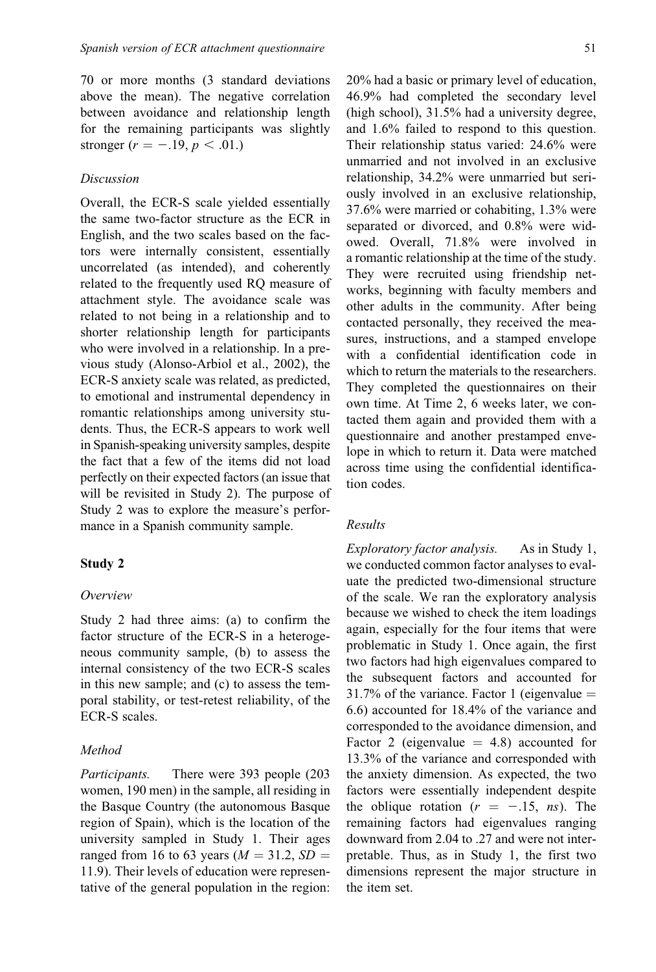70 or more months (3 standard deviations above the mean). The negative correlation between avoidance and relationship length for the remaining participants was slightly stronger ( $r = -.19, p < .01$ .)

## Discussion

Overall, the ECR-S scale yielded essentially the same two-factor structure as the ECR in English, and the two scales based on the factors were internally consistent, essentially uncorrelated (as intended), and coherently related to the frequently used RQ measure of attachment style. The avoidance scale was related to not being in a relationship and to shorter relationship length for participants who were involved in a relationship. In a previous study (Alonso-Arbiol et al., 2002), the ECR-S anxiety scale was related, as predicted, to emotional and instrumental dependency in romantic relationships among university students. Thus, the ECR-S appears to work well in Spanish-speaking university samples, despite the fact that a few of the items did not load perfectly on their expected factors (an issue that will be revisited in Study 2). The purpose of Study 2 was to explore the measure's performance in a Spanish community sample.

# Study 2

#### Overview

Study 2 had three aims: (a) to confirm the factor structure of the ECR-S in a heterogeneous community sample, (b) to assess the internal consistency of the two ECR-S scales in this new sample; and (c) to assess the temporal stability, or test-retest reliability, of the ECR-S scales.

# Method

Participants. There were 393 people (203 women, 190 men) in the sample, all residing in the Basque Country (the autonomous Basque region of Spain), which is the location of the university sampled in Study 1. Their ages ranged from 16 to 63 years ( $M = 31.2$ ,  $SD =$ 11.9). Their levels of education were representative of the general population in the region:

20% had a basic or primary level of education, 46.9% had completed the secondary level (high school), 31.5% had a university degree, and 1.6% failed to respond to this question. Their relationship status varied: 24.6% were unmarried and not involved in an exclusive relationship, 34.2% were unmarried but seriously involved in an exclusive relationship, 37.6% were married or cohabiting, 1.3% were separated or divorced, and 0.8% were widowed. Overall, 71.8% were involved in a romantic relationship at the time of the study. They were recruited using friendship networks, beginning with faculty members and other adults in the community. After being contacted personally, they received the measures, instructions, and a stamped envelope with a confidential identification code in which to return the materials to the researchers. They completed the questionnaires on their own time. At Time 2, 6 weeks later, we contacted them again and provided them with a questionnaire and another prestamped envelope in which to return it. Data were matched across time using the confidential identification codes.

#### Results

Exploratory factor analysis. As in Study 1, we conducted common factor analyses to evaluate the predicted two-dimensional structure of the scale. We ran the exploratory analysis because we wished to check the item loadings again, especially for the four items that were problematic in Study 1. Once again, the first two factors had high eigenvalues compared to the subsequent factors and accounted for 31.7% of the variance. Factor 1 (eigenvalue  $=$ 6.6) accounted for 18.4% of the variance and corresponded to the avoidance dimension, and Factor 2 (eigenvalue  $= 4.8$ ) accounted for 13.3% of the variance and corresponded with the anxiety dimension. As expected, the two factors were essentially independent despite the oblique rotation  $(r = -.15, ns)$ . The remaining factors had eigenvalues ranging downward from 2.04 to .27 and were not interpretable. Thus, as in Study 1, the first two dimensions represent the major structure in the item set.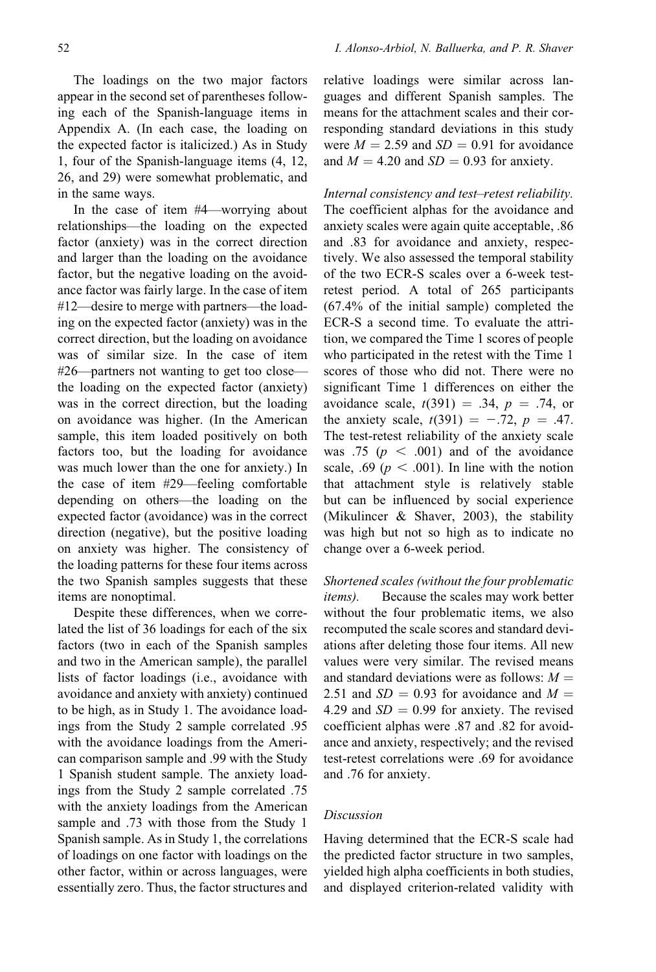The loadings on the two major factors appear in the second set of parentheses following each of the Spanish-language items in Appendix A. (In each case, the loading on the expected factor is italicized.) As in Study 1, four of the Spanish-language items (4, 12, 26, and 29) were somewhat problematic, and in the same ways.

In the case of item #4—worrying about relationships—the loading on the expected factor (anxiety) was in the correct direction and larger than the loading on the avoidance factor, but the negative loading on the avoidance factor was fairly large. In the case of item #12—desire to merge with partners—the loading on the expected factor (anxiety) was in the correct direction, but the loading on avoidance was of similar size. In the case of item #26—partners not wanting to get too close the loading on the expected factor (anxiety) was in the correct direction, but the loading on avoidance was higher. (In the American sample, this item loaded positively on both factors too, but the loading for avoidance was much lower than the one for anxiety.) In the case of item #29—feeling comfortable depending on others—the loading on the expected factor (avoidance) was in the correct direction (negative), but the positive loading on anxiety was higher. The consistency of the loading patterns for these four items across the two Spanish samples suggests that these items are nonoptimal.

Despite these differences, when we correlated the list of 36 loadings for each of the six factors (two in each of the Spanish samples and two in the American sample), the parallel lists of factor loadings (i.e., avoidance with avoidance and anxiety with anxiety) continued to be high, as in Study 1. The avoidance loadings from the Study 2 sample correlated .95 with the avoidance loadings from the American comparison sample and .99 with the Study 1 Spanish student sample. The anxiety loadings from the Study 2 sample correlated .75 with the anxiety loadings from the American sample and .73 with those from the Study 1 Spanish sample. As in Study 1, the correlations of loadings on one factor with loadings on the other factor, within or across languages, were essentially zero. Thus, the factor structures and relative loadings were similar across languages and different Spanish samples. The means for the attachment scales and their corresponding standard deviations in this study were  $M = 2.59$  and  $SD = 0.91$  for avoidance and  $M = 4.20$  and  $SD = 0.93$  for anxiety.

Internal consistency and test–retest reliability. The coefficient alphas for the avoidance and anxiety scales were again quite acceptable, .86 and .83 for avoidance and anxiety, respectively. We also assessed the temporal stability of the two ECR-S scales over a 6-week testretest period. A total of 265 participants (67.4% of the initial sample) completed the ECR-S a second time. To evaluate the attrition, we compared the Time 1 scores of people who participated in the retest with the Time 1 scores of those who did not. There were no significant Time 1 differences on either the avoidance scale,  $t(391) = .34, p = .74$ , or the anxiety scale,  $t(391) = -.72$ ,  $p = .47$ . The test-retest reliability of the anxiety scale was .75 ( $p \leq .001$ ) and of the avoidance scale, .69 ( $p < .001$ ). In line with the notion that attachment style is relatively stable but can be influenced by social experience (Mikulincer & Shaver, 2003), the stability was high but not so high as to indicate no change over a 6-week period.

Shortened scales (without the four problematic items). Because the scales may work better without the four problematic items, we also recomputed the scale scores and standard deviations after deleting those four items. All new values were very similar. The revised means and standard deviations were as follows:  $M =$ 2.51 and  $SD = 0.93$  for avoidance and  $M =$ 4.29 and  $SD = 0.99$  for anxiety. The revised coefficient alphas were .87 and .82 for avoidance and anxiety, respectively; and the revised test-retest correlations were .69 for avoidance and .76 for anxiety.

## Discussion

Having determined that the ECR-S scale had the predicted factor structure in two samples, yielded high alpha coefficients in both studies, and displayed criterion-related validity with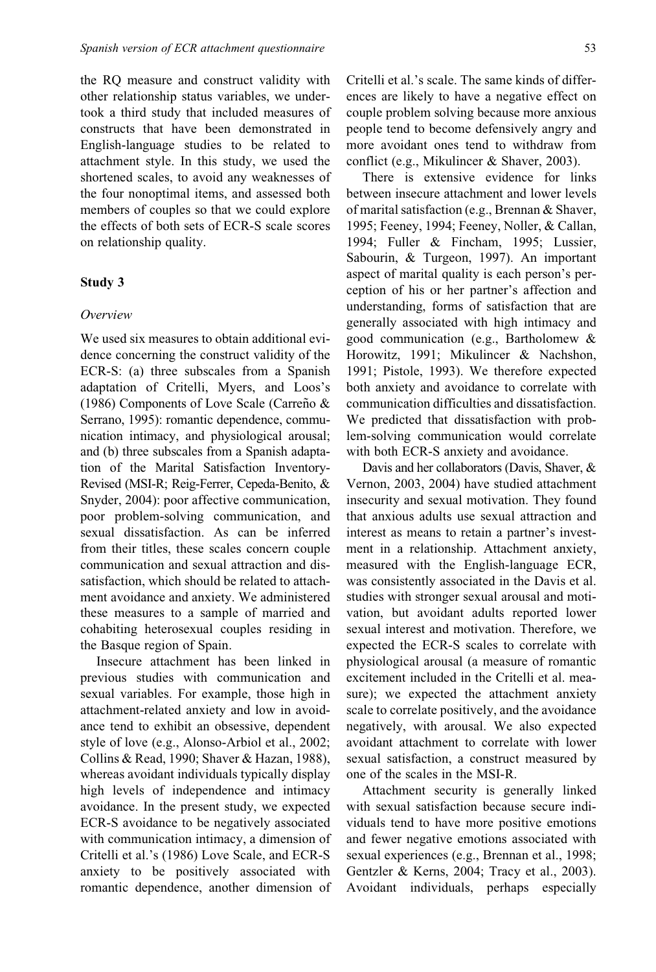the RQ measure and construct validity with other relationship status variables, we undertook a third study that included measures of constructs that have been demonstrated in English-language studies to be related to attachment style. In this study, we used the shortened scales, to avoid any weaknesses of the four nonoptimal items, and assessed both members of couples so that we could explore the effects of both sets of ECR-S scale scores on relationship quality.

# Study 3

# Overview

We used six measures to obtain additional evidence concerning the construct validity of the ECR-S: (a) three subscales from a Spanish adaptation of Critelli, Myers, and Loos's (1986) Components of Love Scale (Carreño  $&$ Serrano, 1995): romantic dependence, communication intimacy, and physiological arousal; and (b) three subscales from a Spanish adaptation of the Marital Satisfaction Inventory-Revised (MSI-R; Reig-Ferrer, Cepeda-Benito, & Snyder, 2004): poor affective communication, poor problem-solving communication, and sexual dissatisfaction. As can be inferred from their titles, these scales concern couple communication and sexual attraction and dissatisfaction, which should be related to attachment avoidance and anxiety. We administered these measures to a sample of married and cohabiting heterosexual couples residing in the Basque region of Spain.

Insecure attachment has been linked in previous studies with communication and sexual variables. For example, those high in attachment-related anxiety and low in avoidance tend to exhibit an obsessive, dependent style of love (e.g., Alonso-Arbiol et al., 2002; Collins & Read, 1990; Shaver & Hazan, 1988), whereas avoidant individuals typically display high levels of independence and intimacy avoidance. In the present study, we expected ECR-S avoidance to be negatively associated with communication intimacy, a dimension of Critelli et al.'s (1986) Love Scale, and ECR-S anxiety to be positively associated with romantic dependence, another dimension of Critelli et al.'s scale. The same kinds of differences are likely to have a negative effect on couple problem solving because more anxious people tend to become defensively angry and more avoidant ones tend to withdraw from conflict (e.g., Mikulincer & Shaver, 2003).

There is extensive evidence for links between insecure attachment and lower levels of marital satisfaction (e.g., Brennan & Shaver, 1995; Feeney, 1994; Feeney, Noller, & Callan, 1994; Fuller & Fincham, 1995; Lussier, Sabourin, & Turgeon, 1997). An important aspect of marital quality is each person's perception of his or her partner's affection and understanding, forms of satisfaction that are generally associated with high intimacy and good communication (e.g., Bartholomew & Horowitz, 1991; Mikulincer & Nachshon, 1991; Pistole, 1993). We therefore expected both anxiety and avoidance to correlate with communication difficulties and dissatisfaction. We predicted that dissatisfaction with problem-solving communication would correlate with both ECR-S anxiety and avoidance.

Davis and her collaborators (Davis, Shaver, & Vernon, 2003, 2004) have studied attachment insecurity and sexual motivation. They found that anxious adults use sexual attraction and interest as means to retain a partner's investment in a relationship. Attachment anxiety, measured with the English-language ECR, was consistently associated in the Davis et al. studies with stronger sexual arousal and motivation, but avoidant adults reported lower sexual interest and motivation. Therefore, we expected the ECR-S scales to correlate with physiological arousal (a measure of romantic excitement included in the Critelli et al. measure); we expected the attachment anxiety scale to correlate positively, and the avoidance negatively, with arousal. We also expected avoidant attachment to correlate with lower sexual satisfaction, a construct measured by one of the scales in the MSI-R.

Attachment security is generally linked with sexual satisfaction because secure individuals tend to have more positive emotions and fewer negative emotions associated with sexual experiences (e.g., Brennan et al., 1998; Gentzler & Kerns, 2004; Tracy et al., 2003). Avoidant individuals, perhaps especially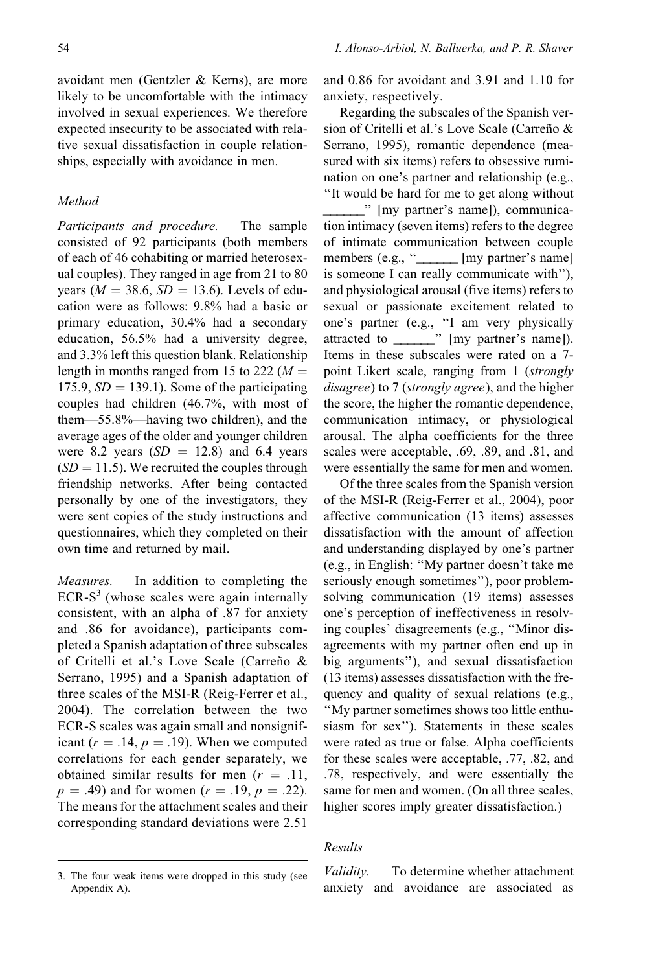avoidant men (Gentzler & Kerns), are more likely to be uncomfortable with the intimacy involved in sexual experiences. We therefore expected insecurity to be associated with relative sexual dissatisfaction in couple relationships, especially with avoidance in men.

# Method

Participants and procedure. The sample consisted of 92 participants (both members of each of 46 cohabiting or married heterosexual couples). They ranged in age from 21 to 80 years ( $M = 38.6$ ,  $SD = 13.6$ ). Levels of education were as follows: 9.8% had a basic or primary education, 30.4% had a secondary education, 56.5% had a university degree, and 3.3% left this question blank. Relationship length in months ranged from 15 to 222 ( $M =$ 175.9,  $SD = 139.1$ ). Some of the participating couples had children (46.7%, with most of them—55.8%—having two children), and the average ages of the older and younger children were 8.2 years  $(SD = 12.8)$  and 6.4 years  $(SD = 11.5)$ . We recruited the couples through friendship networks. After being contacted personally by one of the investigators, they were sent copies of the study instructions and questionnaires, which they completed on their own time and returned by mail.

Measures. In addition to completing the  $ECR-S<sup>3</sup>$  (whose scales were again internally consistent, with an alpha of .87 for anxiety and .86 for avoidance), participants completed a Spanish adaptation of three subscales of Critelli et al.'s Love Scale (Carreño & Serrano, 1995) and a Spanish adaptation of three scales of the MSI-R (Reig-Ferrer et al., 2004). The correlation between the two ECR-S scales was again small and nonsignificant ( $r = .14$ ,  $p = .19$ ). When we computed correlations for each gender separately, we obtained similar results for men  $(r = .11, )$  $p = .49$ ) and for women ( $r = .19$ ,  $p = .22$ ). The means for the attachment scales and their corresponding standard deviations were 2.51

anxiety, respectively. Regarding the subscales of the Spanish version of Critelli et al.'s Love Scale (Carreño & Serrano, 1995), romantic dependence (measured with six items) refers to obsessive rumination on one's partner and relationship (e.g., ''It would be hard for me to get along without

\_\_\_\_\_\_'' [my partner's name]), communication intimacy (seven items) refers to the degree of intimate communication between couple members (e.g., "\_\_\_\_\_\_ [my partner's name] is someone I can really communicate with''), and physiological arousal (five items) refers to sexual or passionate excitement related to one's partner (e.g., ''I am very physically attracted to  $\cdots$  [my partner's name]). Items in these subscales were rated on a 7 point Likert scale, ranging from 1 (strongly disagree) to 7 (strongly agree), and the higher the score, the higher the romantic dependence, communication intimacy, or physiological arousal. The alpha coefficients for the three scales were acceptable, .69, .89, and .81, and were essentially the same for men and women.

Of the three scales from the Spanish version of the MSI-R (Reig-Ferrer et al., 2004), poor affective communication (13 items) assesses dissatisfaction with the amount of affection and understanding displayed by one's partner (e.g., in English: ''My partner doesn't take me seriously enough sometimes''), poor problemsolving communication (19 items) assesses one's perception of ineffectiveness in resolving couples' disagreements (e.g., ''Minor disagreements with my partner often end up in big arguments''), and sexual dissatisfaction (13 items) assesses dissatisfaction with the frequency and quality of sexual relations (e.g., ''My partner sometimes shows too little enthusiasm for sex''). Statements in these scales were rated as true or false. Alpha coefficients for these scales were acceptable, .77, .82, and .78, respectively, and were essentially the same for men and women. (On all three scales, higher scores imply greater dissatisfaction.)

## Results

Validity. To determine whether attachment anxiety and avoidance are associated as

<sup>3.</sup> The four weak items were dropped in this study (see Appendix A).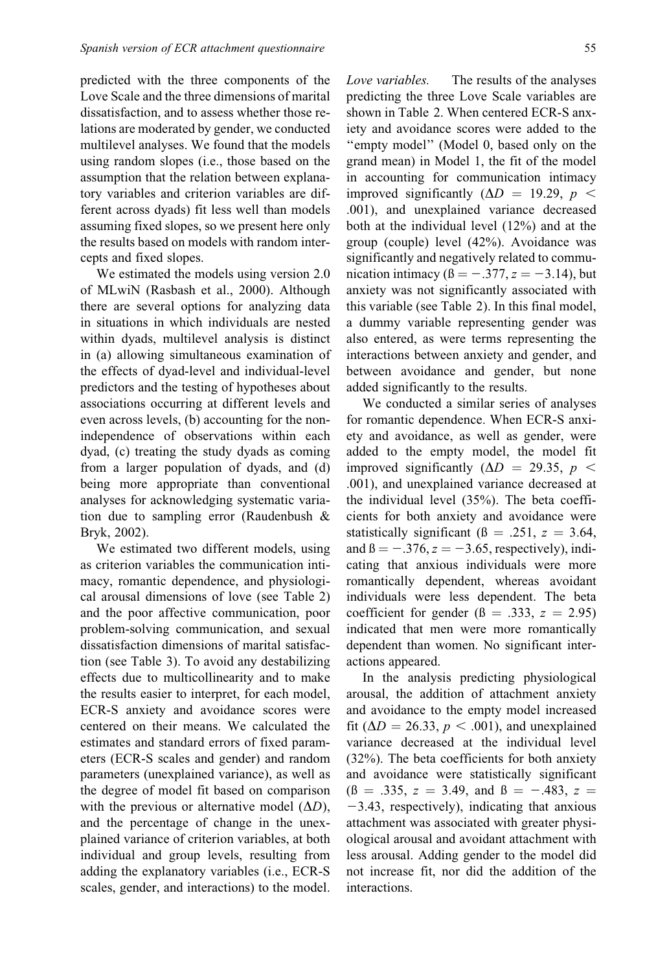predicted with the three components of the Love Scale and the three dimensions of marital dissatisfaction, and to assess whether those relations are moderated by gender, we conducted multilevel analyses. We found that the models using random slopes (i.e., those based on the assumption that the relation between explanatory variables and criterion variables are different across dyads) fit less well than models assuming fixed slopes, so we present here only the results based on models with random intercepts and fixed slopes.

We estimated the models using version 2.0 of MLwiN (Rasbash et al., 2000). Although there are several options for analyzing data in situations in which individuals are nested within dyads, multilevel analysis is distinct in (a) allowing simultaneous examination of the effects of dyad-level and individual-level predictors and the testing of hypotheses about associations occurring at different levels and even across levels, (b) accounting for the nonindependence of observations within each dyad, (c) treating the study dyads as coming from a larger population of dyads, and (d) being more appropriate than conventional analyses for acknowledging systematic variation due to sampling error (Raudenbush & Bryk, 2002).

We estimated two different models, using as criterion variables the communication intimacy, romantic dependence, and physiological arousal dimensions of love (see Table 2) and the poor affective communication, poor problem-solving communication, and sexual dissatisfaction dimensions of marital satisfaction (see Table 3). To avoid any destabilizing effects due to multicollinearity and to make the results easier to interpret, for each model, ECR-S anxiety and avoidance scores were centered on their means. We calculated the estimates and standard errors of fixed parameters (ECR-S scales and gender) and random parameters (unexplained variance), as well as the degree of model fit based on comparison with the previous or alternative model  $(\Delta D)$ , and the percentage of change in the unexplained variance of criterion variables, at both individual and group levels, resulting from adding the explanatory variables (i.e., ECR-S scales, gender, and interactions) to the model.

Love variables. The results of the analyses predicting the three Love Scale variables are shown in Table 2. When centered ECR-S anxiety and avoidance scores were added to the ''empty model'' (Model 0, based only on the grand mean) in Model 1, the fit of the model in accounting for communication intimacy improved significantly ( $\Delta D = 19.29$ ,  $p <$ .001), and unexplained variance decreased both at the individual level (12%) and at the group (couple) level (42%). Avoidance was significantly and negatively related to communication intimacy ( $\beta = -.377$ ,  $z = -3.14$ ), but anxiety was not significantly associated with this variable (see Table 2). In this final model, a dummy variable representing gender was also entered, as were terms representing the interactions between anxiety and gender, and between avoidance and gender, but none added significantly to the results.

We conducted a similar series of analyses for romantic dependence. When ECR-S anxiety and avoidance, as well as gender, were added to the empty model, the model fit improved significantly ( $\Delta D = 29.35$ ,  $p <$ .001), and unexplained variance decreased at the individual level (35%). The beta coefficients for both anxiety and avoidance were statistically significant ( $\beta = .251$ ,  $z = 3.64$ , and  $\beta = -0.376$ ,  $z = -3.65$ , respectively), indicating that anxious individuals were more romantically dependent, whereas avoidant individuals were less dependent. The beta coefficient for gender ( $\beta = .333$ ,  $z = 2.95$ ) indicated that men were more romantically dependent than women. No significant interactions appeared.

In the analysis predicting physiological arousal, the addition of attachment anxiety and avoidance to the empty model increased fit ( $\Delta D = 26.33$ ,  $p < .001$ ), and unexplained variance decreased at the individual level (32%). The beta coefficients for both anxiety and avoidance were statistically significant  $( \beta = .335, z = 3.49, \text{ and } \beta = -.483, z =$  $-3.43$ , respectively), indicating that anxious attachment was associated with greater physiological arousal and avoidant attachment with less arousal. Adding gender to the model did not increase fit, nor did the addition of the interactions.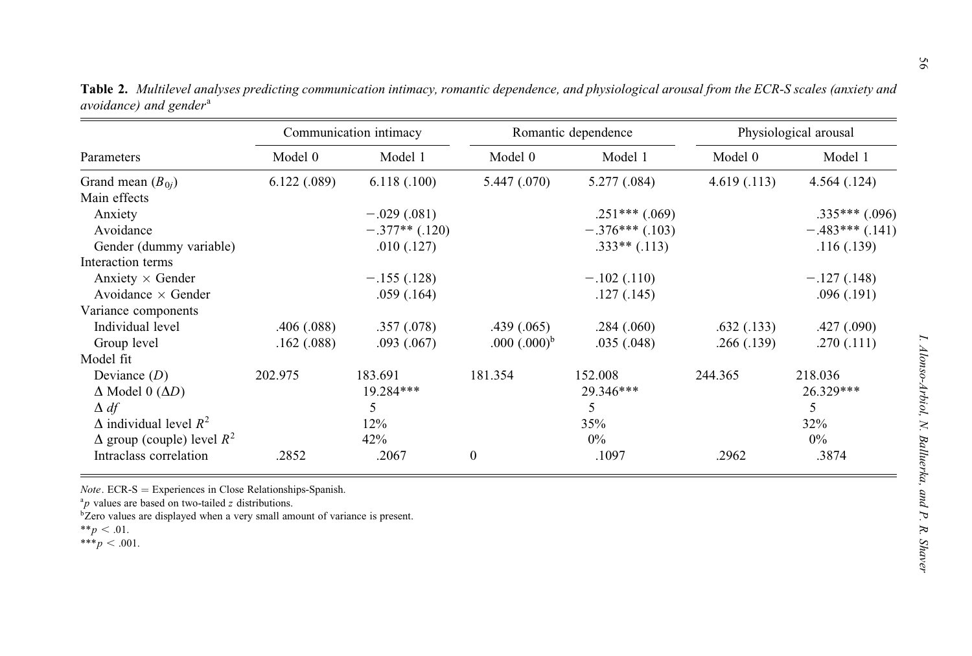|                                     | Communication intimacy |                 | Romantic dependence |                  | Physiological arousal |                  |
|-------------------------------------|------------------------|-----------------|---------------------|------------------|-----------------------|------------------|
| Parameters                          | Model 0                | Model 1         | Model 0             | Model 1          | Model 0               | Model 1          |
| Grand mean $(B_{0i})$               | 6.122(.089)            | 6.118(.100)     | 5.447(0.070)        | 5.277 (.084)     | 4.619(0.113)          | 4.564(.124)      |
| Main effects                        |                        |                 |                     |                  |                       |                  |
| Anxiety                             |                        | $-.029(.081)$   |                     | $.251***(.069)$  |                       | $.335***$ (.096) |
| Avoidance                           |                        | $-.377**(.120)$ |                     | $-.376***(.103)$ |                       | $-.483***(.141)$ |
| Gender (dummy variable)             |                        | .010(.127)      |                     | $.333**(.113)$   |                       | .116(.139)       |
| Interaction terms                   |                        |                 |                     |                  |                       |                  |
| Anxiety $\times$ Gender             |                        | $-.155(.128)$   |                     | $-.102(.110)$    |                       | $-.127(.148)$    |
| Avoidance $\times$ Gender           |                        | .059(.164)      |                     | .127(.145)       |                       | .096(.191)       |
| Variance components                 |                        |                 |                     |                  |                       |                  |
| Individual level                    | .406(.088)             | .357(.078)      | .439(.065)          | .284(.060)       | .632(.133)            | .427(.090)       |
| Group level                         | .162(.088)             | .093(.067)      | $.000(.000)^{b}$    | .035(.048)       | .266(.139)            | .270(.111)       |
| Model fit                           |                        |                 |                     |                  |                       |                  |
| Deviance $(D)$                      | 202.975                | 183.691         | 181.354             | 152.008          | 244.365               | 218.036          |
| $\Delta$ Model 0 ( $\Delta D$ )     |                        | 19.284***       |                     | 29.346***        |                       | 26.329***        |
| $\Delta df$                         |                        | 5               |                     | 5                |                       | 5                |
| $\Delta$ individual level $R^2$     |                        | 12%             |                     | 35%              |                       | 32%              |
| $\Delta$ group (couple) level $R^2$ |                        | 42%             |                     | $0\%$            |                       | $0\%$            |
| Intraclass correlation              | .2852                  | .2067           | $\boldsymbol{0}$    | .1097            | .2962                 | .3874            |

Table 2. Multilevel analyses predicting communication intimacy, romantic dependence, and physiological arousal from the ECR-S scales (anxiety and avoidance) and gender<sup>a</sup>

*Note*. ECR-S  $=$  Experiences in Close Relationships-Spanish.

 $a_p$  values are based on two-tailed z distributions.

 $b^2$ Zero values are displayed when a very small amount of variance is present.

 $*_{p} < .01$ .

\*\*\* $p < .001$ .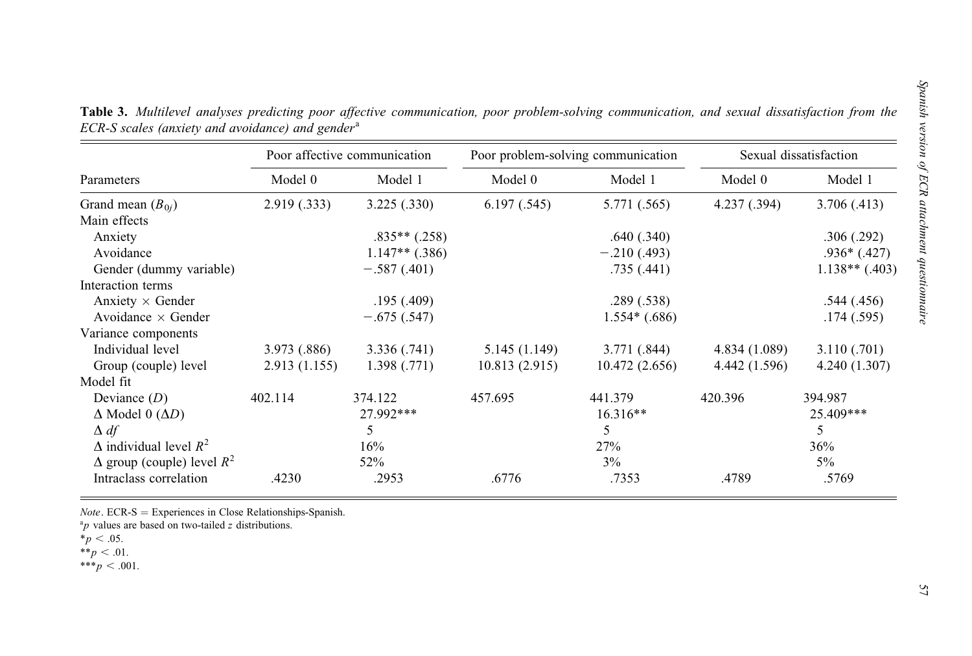|                                     | Poor affective communication |                  | Poor problem-solving communication |                 | Sexual dissatisfaction |                  |
|-------------------------------------|------------------------------|------------------|------------------------------------|-----------------|------------------------|------------------|
| Parameters                          | Model 0                      | Model 1          | Model 0                            | Model 1         | Model 0                | Model 1          |
| Grand mean $(B_{0i})$               | 2.919(0.333)                 | 3.225(.330)      | 6.197(.545)                        | 5.771 (.565)    | 4.237(.394)            | 3.706(.413)      |
| Main effects                        |                              |                  |                                    |                 |                        |                  |
| Anxiety                             |                              | $.835**$ (.258)  |                                    | .640(.340)      |                        | .306(.292)       |
| Avoidance                           |                              | $1.147**$ (.386) |                                    | $-.210(.493)$   |                        | $.936*(.427)$    |
| Gender (dummy variable)             |                              | $-.587(.401)$    |                                    | .735(.441)      |                        | $1.138**$ (.403) |
| Interaction terms                   |                              |                  |                                    |                 |                        |                  |
| Anxiety $\times$ Gender             |                              | .195(.409)       |                                    | .289(.538)      |                        | .544(.456)       |
| Avoidance $\times$ Gender           |                              | $-.675(.547)$    |                                    | $1.554*(0.686)$ |                        | .174(.595)       |
| Variance components                 |                              |                  |                                    |                 |                        |                  |
| Individual level                    | 3.973 (.886)                 | 3.336(.741)      | 5.145 (1.149)                      | 3.771 (.844)    | 4.834 (1.089)          | 3.110(.701)      |
| Group (couple) level                | 2.913(1.155)                 | 1.398(.771)      | 10.813(2.915)                      | 10.472(2.656)   | 4.442 (1.596)          | 4.240 (1.307)    |
| Model fit                           |                              |                  |                                    |                 |                        |                  |
| Deviance $(D)$                      | 402.114                      | 374.122          | 457.695                            | 441.379         | 420.396                | 394.987          |
| $\Delta$ Model 0 ( $\Delta D$ )     |                              | $27.992***$      |                                    | $16.316**$      |                        | 25.409***        |
| $\Delta df$                         |                              | 5                |                                    | 5               |                        | 5                |
| $\Delta$ individual level $R^2$     |                              | 16%              |                                    | 27%             |                        | 36%              |
| $\Delta$ group (couple) level $R^2$ |                              | 52%              |                                    | $3\%$           |                        | $5\%$            |
| Intraclass correlation              | .4230                        | .2953            | .6776                              | .7353           | .4789                  | .5769            |

Table 3. Multilevel analyses predicting poor affective communication, poor problem-solving communication, and sexual dissatisfaction from the ECR-S scales (anxiety and avoidance) and gender<sup>a</sup>

*Note*. ECR-S  $=$  Experiences in Close Relationships-Spanish.

 $a_p$  values are based on two-tailed z distributions.

 $*_{p} < .05.$ 

 $**_p < .01.$ 

\*\*\* $p < .001$ .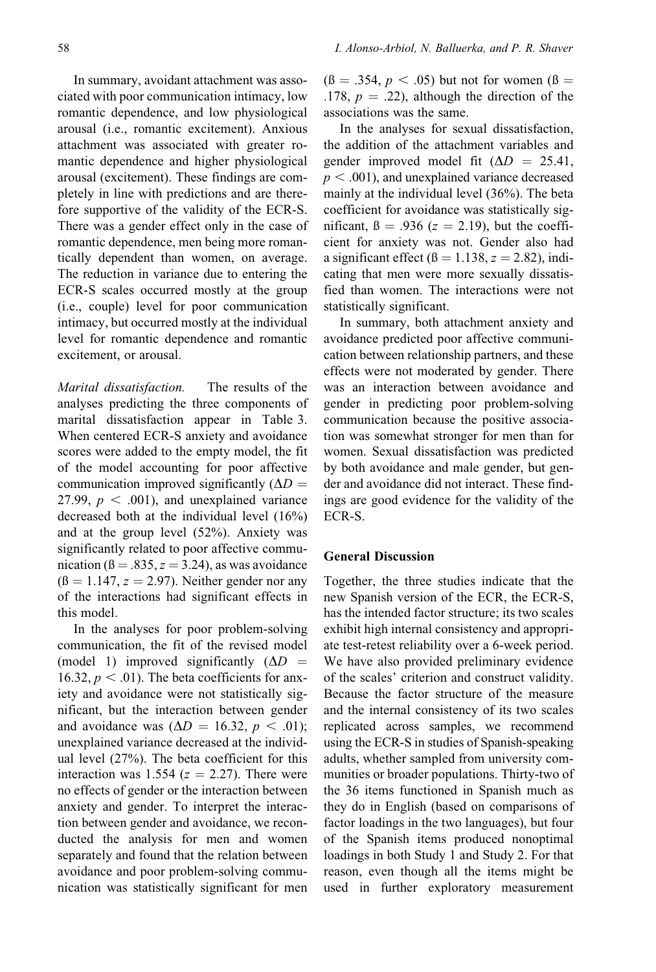In summary, avoidant attachment was associated with poor communication intimacy, low romantic dependence, and low physiological arousal (i.e., romantic excitement). Anxious attachment was associated with greater romantic dependence and higher physiological arousal (excitement). These findings are completely in line with predictions and are therefore supportive of the validity of the ECR-S. There was a gender effect only in the case of romantic dependence, men being more romantically dependent than women, on average. The reduction in variance due to entering the ECR-S scales occurred mostly at the group (i.e., couple) level for poor communication intimacy, but occurred mostly at the individual level for romantic dependence and romantic

Marital dissatisfaction. The results of the analyses predicting the three components of marital dissatisfaction appear in Table 3. When centered ECR-S anxiety and avoidance scores were added to the empty model, the fit of the model accounting for poor affective communication improved significantly ( $\Delta D =$ 27.99,  $p < .001$ ), and unexplained variance decreased both at the individual level (16%) and at the group level (52%). Anxiety was significantly related to poor affective communication ( $\beta = .835, z = 3.24$ ), as was avoidance  $( \beta = 1.147, z = 2.97)$ . Neither gender nor any of the interactions had significant effects in this model.

excitement, or arousal.

In the analyses for poor problem-solving communication, the fit of the revised model (model 1) improved significantly  $(\Delta D =$ 16.32,  $p < .01$ ). The beta coefficients for anxiety and avoidance were not statistically significant, but the interaction between gender and avoidance was  $(\Delta D = 16.32, p < .01)$ ; unexplained variance decreased at the individual level (27%). The beta coefficient for this interaction was 1.554 ( $z = 2.27$ ). There were no effects of gender or the interaction between anxiety and gender. To interpret the interaction between gender and avoidance, we reconducted the analysis for men and women separately and found that the relation between avoidance and poor problem-solving communication was statistically significant for men  $( \beta = .354, p < .05)$  but not for women  $( \beta = .354, p < .05)$ .178,  $p = .22$ ), although the direction of the associations was the same.

In the analyses for sexual dissatisfaction, the addition of the attachment variables and gender improved model fit  $(\Delta D = 25.41,$  $p < .001$ ), and unexplained variance decreased mainly at the individual level (36%). The beta coefficient for avoidance was statistically significant,  $\beta = .936$  ( $z = 2.19$ ), but the coefficient for anxiety was not. Gender also had a significant effect ( $\beta = 1.138$ ,  $z = 2.82$ ), indicating that men were more sexually dissatisfied than women. The interactions were not statistically significant.

In summary, both attachment anxiety and avoidance predicted poor affective communication between relationship partners, and these effects were not moderated by gender. There was an interaction between avoidance and gender in predicting poor problem-solving communication because the positive association was somewhat stronger for men than for women. Sexual dissatisfaction was predicted by both avoidance and male gender, but gender and avoidance did not interact. These findings are good evidence for the validity of the ECR-S.

# General Discussion

Together, the three studies indicate that the new Spanish version of the ECR, the ECR-S, has the intended factor structure; its two scales exhibit high internal consistency and appropriate test-retest reliability over a 6-week period. We have also provided preliminary evidence of the scales' criterion and construct validity. Because the factor structure of the measure and the internal consistency of its two scales replicated across samples, we recommend using the ECR-S in studies of Spanish-speaking adults, whether sampled from university communities or broader populations. Thirty-two of the 36 items functioned in Spanish much as they do in English (based on comparisons of factor loadings in the two languages), but four of the Spanish items produced nonoptimal loadings in both Study 1 and Study 2. For that reason, even though all the items might be used in further exploratory measurement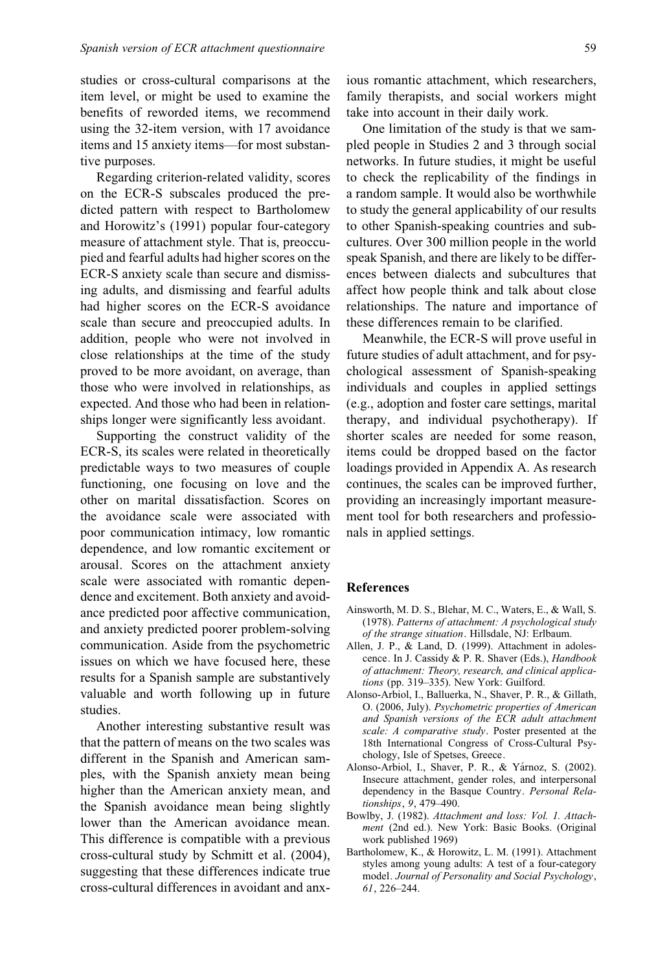studies or cross-cultural comparisons at the item level, or might be used to examine the benefits of reworded items, we recommend using the 32-item version, with 17 avoidance items and 15 anxiety items—for most substantive purposes.

Regarding criterion-related validity, scores on the ECR-S subscales produced the predicted pattern with respect to Bartholomew and Horowitz's (1991) popular four-category measure of attachment style. That is, preoccupied and fearful adults had higher scores on the ECR-S anxiety scale than secure and dismissing adults, and dismissing and fearful adults had higher scores on the ECR-S avoidance scale than secure and preoccupied adults. In addition, people who were not involved in close relationships at the time of the study proved to be more avoidant, on average, than those who were involved in relationships, as expected. And those who had been in relationships longer were significantly less avoidant.

Supporting the construct validity of the ECR-S, its scales were related in theoretically predictable ways to two measures of couple functioning, one focusing on love and the other on marital dissatisfaction. Scores on the avoidance scale were associated with poor communication intimacy, low romantic dependence, and low romantic excitement or arousal. Scores on the attachment anxiety scale were associated with romantic dependence and excitement. Both anxiety and avoidance predicted poor affective communication, and anxiety predicted poorer problem-solving communication. Aside from the psychometric issues on which we have focused here, these results for a Spanish sample are substantively valuable and worth following up in future studies.

Another interesting substantive result was that the pattern of means on the two scales was different in the Spanish and American samples, with the Spanish anxiety mean being higher than the American anxiety mean, and the Spanish avoidance mean being slightly lower than the American avoidance mean. This difference is compatible with a previous cross-cultural study by Schmitt et al. (2004), suggesting that these differences indicate true cross-cultural differences in avoidant and anxious romantic attachment, which researchers, family therapists, and social workers might take into account in their daily work.

One limitation of the study is that we sampled people in Studies 2 and 3 through social networks. In future studies, it might be useful to check the replicability of the findings in a random sample. It would also be worthwhile to study the general applicability of our results to other Spanish-speaking countries and subcultures. Over 300 million people in the world speak Spanish, and there are likely to be differences between dialects and subcultures that affect how people think and talk about close relationships. The nature and importance of these differences remain to be clarified.

Meanwhile, the ECR-S will prove useful in future studies of adult attachment, and for psychological assessment of Spanish-speaking individuals and couples in applied settings (e.g., adoption and foster care settings, marital therapy, and individual psychotherapy). If shorter scales are needed for some reason, items could be dropped based on the factor loadings provided in Appendix A. As research continues, the scales can be improved further, providing an increasingly important measurement tool for both researchers and professionals in applied settings.

#### References

- Ainsworth, M. D. S., Blehar, M. C., Waters, E., & Wall, S. (1978). Patterns of attachment: A psychological study of the strange situation. Hillsdale, NJ: Erlbaum.
- Allen, J. P., & Land, D. (1999). Attachment in adolescence. In J. Cassidy & P. R. Shaver (Eds.), Handbook of attachment: Theory, research, and clinical applications (pp. 319–335). New York: Guilford.
- Alonso-Arbiol, I., Balluerka, N., Shaver, P. R., & Gillath, O. (2006, July). Psychometric properties of American and Spanish versions of the ECR adult attachment scale: A comparative study. Poster presented at the 18th International Congress of Cross-Cultural Psychology, Isle of Spetses, Greece.
- Alonso-Arbiol, I., Shaver, P. R., & Yárnoz, S. (2002). Insecure attachment, gender roles, and interpersonal dependency in the Basque Country. Personal Relationships, 9, 479–490.
- Bowlby, J. (1982). Attachment and loss: Vol. 1. Attachment (2nd ed.). New York: Basic Books. (Original work published 1969)
- Bartholomew, K., & Horowitz, L. M. (1991). Attachment styles among young adults: A test of a four-category model. Journal of Personality and Social Psychology, 61, 226–244.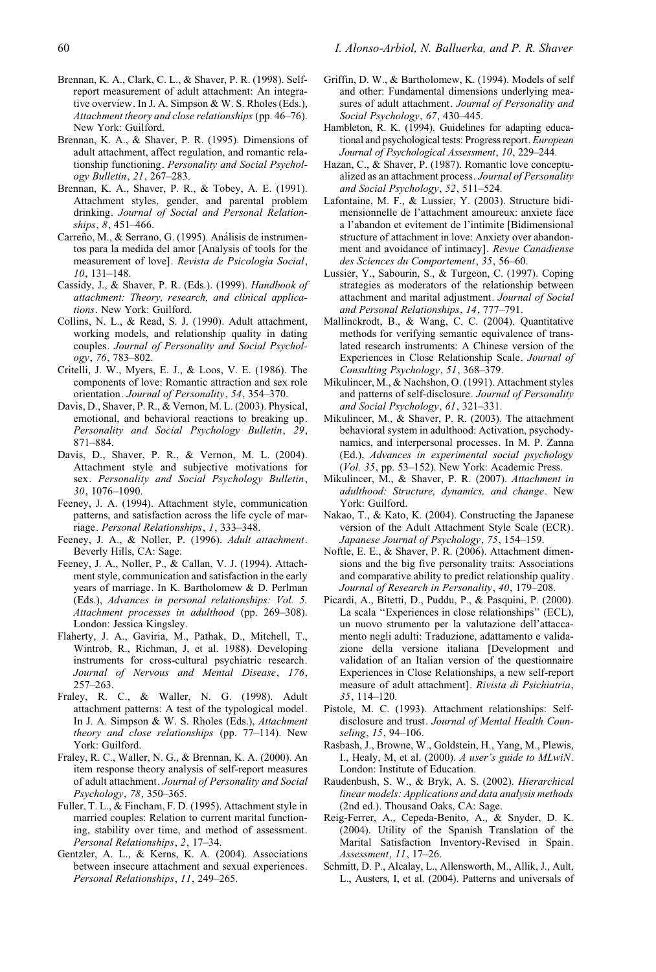- Brennan, K. A., Clark, C. L., & Shaver, P. R. (1998). Selfreport measurement of adult attachment: An integrative overview. In J. A. Simpson & W. S. Rholes (Eds.), Attachment theory and close relationships (pp. 46–76). New York: Guilford.
- Brennan, K. A., & Shaver, P. R. (1995). Dimensions of adult attachment, affect regulation, and romantic relationship functioning. Personality and Social Psychology Bulletin, 21, 267–283.
- Brennan, K. A., Shaver, P. R., & Tobey, A. E. (1991). Attachment styles, gender, and parental problem drinking. Journal of Social and Personal Relationships, 8, 451–466.
- Carreño, M., & Serrano, G. (1995). Análisis de instrumentos para la medida del amor [Analysis of tools for the measurement of love]. Revista de Psicología Social, 10, 131–148.
- Cassidy, J., & Shaver, P. R. (Eds.). (1999). Handbook of attachment: Theory, research, and clinical applications. New York: Guilford.
- Collins, N. L., & Read, S. J. (1990). Adult attachment, working models, and relationship quality in dating couples. Journal of Personality and Social Psychology, 76, 783–802.
- Critelli, J. W., Myers, E. J., & Loos, V. E. (1986). The components of love: Romantic attraction and sex role orientation. Journal of Personality, 54, 354–370.
- Davis, D., Shaver, P. R., & Vernon, M. L. (2003). Physical, emotional, and behavioral reactions to breaking up. Personality and Social Psychology Bulletin, 29, 871–884.
- Davis, D., Shaver, P. R., & Vernon, M. L. (2004). Attachment style and subjective motivations for sex. Personality and Social Psychology Bulletin, 30, 1076–1090.
- Feeney, J. A. (1994). Attachment style, communication patterns, and satisfaction across the life cycle of marriage. Personal Relationships, 1, 333–348.
- Feeney, J. A., & Noller, P. (1996). Adult attachment. Beverly Hills, CA: Sage.
- Feeney, J. A., Noller, P., & Callan, V. J. (1994). Attachment style, communication and satisfaction in the early years of marriage. In K. Bartholomew & D. Perlman (Eds.), Advances in personal relationships: Vol. 5. Attachment processes in adulthood (pp. 269–308). London: Jessica Kingsley.
- Flaherty, J. A., Gaviria, M., Pathak, D., Mitchell, T., Wintrob, R., Richman, J, et al. 1988). Developing instruments for cross-cultural psychiatric research. Journal of Nervous and Mental Disease, 176, 257–263.
- Fraley, R. C., & Waller, N. G. (1998). Adult attachment patterns: A test of the typological model. In J. A. Simpson & W. S. Rholes (Eds.), Attachment theory and close relationships (pp. 77–114). New York: Guilford.
- Fraley, R. C., Waller, N. G., & Brennan, K. A. (2000). An item response theory analysis of self-report measures of adult attachment. Journal of Personality and Social Psychology, 78, 350–365.
- Fuller, T. L., & Fincham, F. D. (1995). Attachment style in married couples: Relation to current marital functioning, stability over time, and method of assessment. Personal Relationships, 2, 17–34.
- Gentzler, A. L., & Kerns, K. A. (2004). Associations between insecure attachment and sexual experiences. Personal Relationships, 11, 249–265.
- Griffin, D. W., & Bartholomew, K. (1994). Models of self and other: Fundamental dimensions underlying measures of adult attachment. Journal of Personality and Social Psychology, 67, 430–445.
- Hambleton, R. K. (1994). Guidelines for adapting educational and psychological tests: Progress report. European Journal of Psychological Assessment, 10, 229–244.
- Hazan, C., & Shaver, P. (1987). Romantic love conceptualized as an attachment process. Journal of Personality and Social Psychology, 52, 511–524.
- Lafontaine, M. F., & Lussier, Y. (2003). Structure bidimensionnelle de l'attachment amoureux: anxiete face a l'abandon et evitement de l'intimite [Bidimensional structure of attachment in love: Anxiety over abandonment and avoidance of intimacy]. Revue Canadiense des Sciences du Comportement, 35, 56–60.
- Lussier, Y., Sabourin, S., & Turgeon, C. (1997). Coping strategies as moderators of the relationship between attachment and marital adjustment. Journal of Social and Personal Relationships, 14, 777–791.
- Mallinckrodt, B., & Wang, C. C. (2004). Quantitative methods for verifying semantic equivalence of translated research instruments: A Chinese version of the Experiences in Close Relationship Scale. Journal of Consulting Psychology, 51, 368–379.
- Mikulincer, M., & Nachshon, O. (1991). Attachment styles and patterns of self-disclosure. Journal of Personality and Social Psychology, 61, 321–331.
- Mikulincer, M., & Shaver, P. R. (2003). The attachment behavioral system in adulthood: Activation, psychodynamics, and interpersonal processes. In M. P. Zanna (Ed.), Advances in experimental social psychology (Vol. 35, pp. 53–152). New York: Academic Press.
- Mikulincer, M., & Shaver, P. R. (2007). Attachment in adulthood: Structure, dynamics, and change. New York: Guilford.
- Nakao, T., & Kato, K. (2004). Constructing the Japanese version of the Adult Attachment Style Scale (ECR). Japanese Journal of Psychology, 75, 154–159.
- Noftle, E. E., & Shaver, P. R. (2006). Attachment dimensions and the big five personality traits: Associations and comparative ability to predict relationship quality. Journal of Research in Personality, 40, 179–208.
- Picardi, A., Bitetti, D., Puddu, P., & Pasquini, P. (2000). La scala ''Experiences in close relationships'' (ECL), un nuovo strumento per la valutazione dell'attaccamento negli adulti: Traduzione, adattamento e validazione della versione italiana [Development and validation of an Italian version of the questionnaire Experiences in Close Relationships, a new self-report measure of adult attachment]. Rivista di Psichiatria, 35, 114–120.
- Pistole, M. C. (1993). Attachment relationships: Selfdisclosure and trust. Journal of Mental Health Counseling, 15, 94–106.
- Rasbash, J., Browne, W., Goldstein, H., Yang, M., Plewis, I., Healy, M, et al. (2000). A user's guide to MLwiN. London: Institute of Education.
- Raudenbush, S. W., & Bryk, A. S. (2002). Hierarchical linear models: Applications and data analysis methods (2nd ed.). Thousand Oaks, CA: Sage.
- Reig-Ferrer, A., Cepeda-Benito, A., & Snyder, D. K. (2004). Utility of the Spanish Translation of the Marital Satisfaction Inventory-Revised in Spain. Assessment, 11, 17–26.
- Schmitt, D. P., Alcalay, L., Allensworth, M., Allik, J., Ault, L., Austers, I, et al. (2004). Patterns and universals of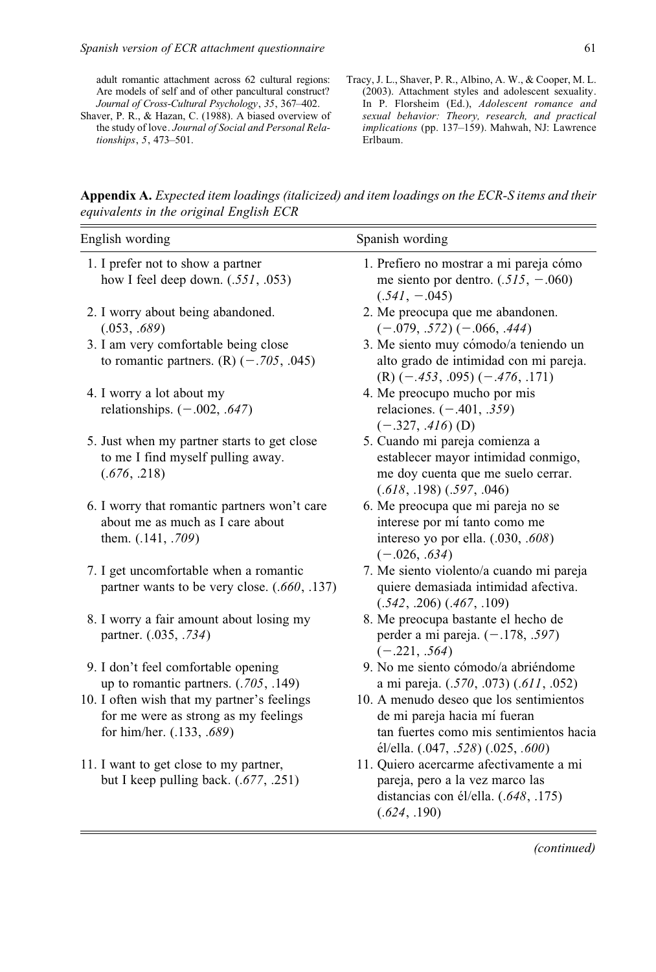adult romantic attachment across 62 cultural regions: Are models of self and of other pancultural construct? Journal of Cross-Cultural Psychology, 35, 367–402.

Shaver, P. R., & Hazan, C. (1988). A biased overview of the study of love. Journal of Social and Personal Relationships, 5, 473–501.

Tracy, J. L., Shaver, P. R., Albino, A. W., & Cooper, M. L. (2003). Attachment styles and adolescent sexuality. In P. Florsheim (Ed.), Adolescent romance and sexual behavior: Theory, research, and practical implications (pp. 137–159). Mahwah, NJ: Lawrence Erlbaum.

Appendix A. Expected item loadings (italicized) and item loadings on the ECR-S items and their equivalents in the original English ECR

| English wording                                                                                                  | Spanish wording                                                                                                                                          |
|------------------------------------------------------------------------------------------------------------------|----------------------------------------------------------------------------------------------------------------------------------------------------------|
| 1. I prefer not to show a partner<br>how I feel deep down. $(.551, .053)$                                        | 1. Prefiero no mostrar a mi pareja cómo<br>me siento por dentro. $(.515, -.060)$<br>$(.541, -.045)$                                                      |
| 2. I worry about being abandoned.<br>(.053, .689)                                                                | 2. Me preocupa que me abandonen.<br>$(-.079, .572) (-.066, .444)$                                                                                        |
| 3. I am very comfortable being close<br>to romantic partners. (R) $(-.705, .045)$                                | 3. Me siento muy cómodo/a teniendo un<br>alto grado de intimidad con mi pareja.<br>$(R)$ (-.453, .095) (-.476, .171)                                     |
| 4. I worry a lot about my<br>relationships. $(-.002, .647)$                                                      | 4. Me preocupo mucho por mis<br>relaciones. $(-.401, .359)$<br>$(-.327, .416)$ (D)                                                                       |
| 5. Just when my partner starts to get close<br>to me I find myself pulling away.<br>(.676, .218)                 | 5. Cuando mi pareja comienza a<br>establecer mayor intimidad conmigo,<br>me doy cuenta que me suelo cerrar.<br>$(.618, .198)$ $(.597, .046)$             |
| 6. I worry that romantic partners won't care<br>about me as much as I care about<br>them. (.141, .709)           | 6. Me preocupa que mi pareja no se<br>interese por mí tanto como me<br>intereso yo por ella. (.030, .608)<br>$(-.026, .634)$                             |
| 7. I get uncomfortable when a romantic<br>partner wants to be very close. (.660, .137)                           | 7. Me siento violento/a cuando mi pareja<br>quiere demasiada intimidad afectiva.<br>$(.542, .206)$ $(.467, .109)$                                        |
| 8. I worry a fair amount about losing my<br>partner. (.035, .734)                                                | 8. Me preocupa bastante el hecho de<br>perder a mi pareja. (-.178, .597)<br>$(-.221, .564)$                                                              |
| 9. I don't feel comfortable opening<br>up to romantic partners. $(.705, .149)$                                   | 9. No me siento cómodo/a abriéndome<br>a mi pareja. (.570, .073) (.611, .052)                                                                            |
| 10. I often wish that my partner's feelings<br>for me were as strong as my feelings<br>for him/her. (.133, .689) | 10. A menudo deseo que los sentimientos<br>de mi pareja hacia mí fueran<br>tan fuertes como mis sentimientos hacia<br>él/ella. (.047, .528) (.025, .600) |
| 11. I want to get close to my partner,<br>but I keep pulling back. (.677, .251)                                  | 11. Quiero acercarme afectivamente a mi<br>pareja, pero a la vez marco las<br>distancias con él/ella. (.648, .175)<br>(.624, .190)                       |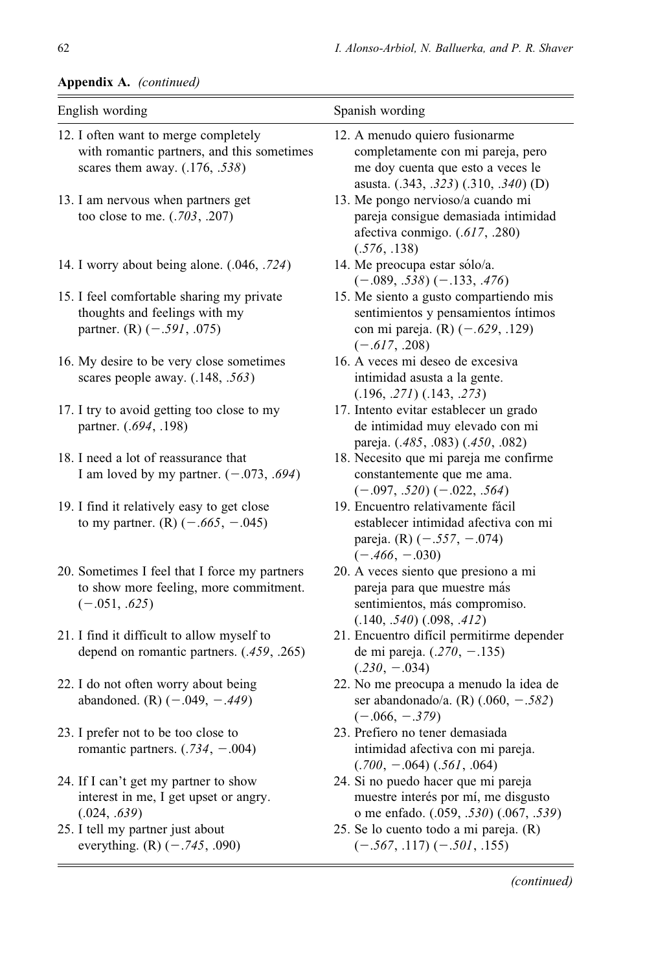# Appendix A. (continued)

| English wording                                                                                                        | Spanish wording                                                                                                                                   |
|------------------------------------------------------------------------------------------------------------------------|---------------------------------------------------------------------------------------------------------------------------------------------------|
| 12. I often want to merge completely<br>with romantic partners, and this sometimes<br>scares them away. $(.176, .538)$ | 12. A menudo quiero fusionarme<br>completamente con mi pareja, pero<br>me doy cuenta que esto a veces le<br>asusta. (.343, .323) (.310, .340) (D) |
| 13. I am nervous when partners get<br>too close to me. (.703, .207)                                                    | 13. Me pongo nervioso/a cuando mi<br>pareja consigue demasiada intimidad<br>afectiva conmigo. (.617, .280)<br>(.576, .138)                        |
| 14. I worry about being alone. (.046, .724)                                                                            | 14. Me preocupa estar sólo/a.<br>$(-.089, .538) (-.133, .476)$                                                                                    |
| 15. I feel comfortable sharing my private<br>thoughts and feelings with my<br>partner. (R) $(-.591, .075)$             | 15. Me siento a gusto compartiendo mis<br>sentimientos y pensamientos íntimos<br>con mi pareja. (R) (-.629, .129)<br>$(-.617, .208)$              |
| 16. My desire to be very close sometimes<br>scares people away. (.148, .563)                                           | 16. A veces mi deseo de excesiva<br>intimidad asusta a la gente.<br>$(.196, .271)$ $(.143, .273)$                                                 |
| 17. I try to avoid getting too close to my<br>partner. (.694, .198)                                                    | 17. Intento evitar establecer un grado<br>de intimidad muy elevado con mi<br>pareja. (.485, .083) (.450, .082)                                    |
| 18. I need a lot of reassurance that<br>I am loved by my partner. $(-.073, .694)$                                      | 18. Necesito que mi pareja me confirme<br>constantemente que me ama.<br>$(-.097, .520) (-.022, .564)$                                             |
| 19. I find it relatively easy to get close<br>to my partner. (R) $(-.665, -.045)$                                      | 19. Encuentro relativamente fácil<br>establecer intimidad afectiva con mi<br>pareja. (R) $(-.557, -.074)$<br>$(-.466, -.030)$                     |
| 20. Sometimes I feel that I force my partners<br>to show more feeling, more commitment.<br>$(-.051, .625)$             | 20. A veces siento que presiono a mi<br>pareja para que muestre más<br>sentimientos, más compromiso.<br>$(.140, .540)$ $(.098, .412)$             |
| 21. I find it difficult to allow myself to<br>depend on romantic partners. (.459, .265)                                | 21. Encuentro difícil permitirme depender<br>de mi pareja. (.270, -.135)<br>$(.230, -.034)$                                                       |
| 22. I do not often worry about being<br>abandoned. (R) $(-.049, -.449)$                                                | 22. No me preocupa a menudo la idea de<br>ser abandonado/a. (R) $(.060, -.582)$<br>$(-.066, -.379)$                                               |
| 23. I prefer not to be too close to<br>romantic partners. $(.734, -.004)$                                              | 23. Prefiero no tener demasiada<br>intimidad afectiva con mi pareja.<br>$(.700, -.064)$ $(.561, .064)$                                            |
| 24. If I can't get my partner to show<br>interest in me, I get upset or angry.<br>(.024, .639)                         | 24. Si no puedo hacer que mi pareja<br>muestre interés por mí, me disgusto<br>o me enfado. (.059, .530) (.067, .539)                              |
| 25. I tell my partner just about<br>everything. (R) $(-.745, .090)$                                                    | 25. Se lo cuento todo a mi pareja. (R)<br>$(-.567, .117) (-.501, .155)$                                                                           |

(continued)